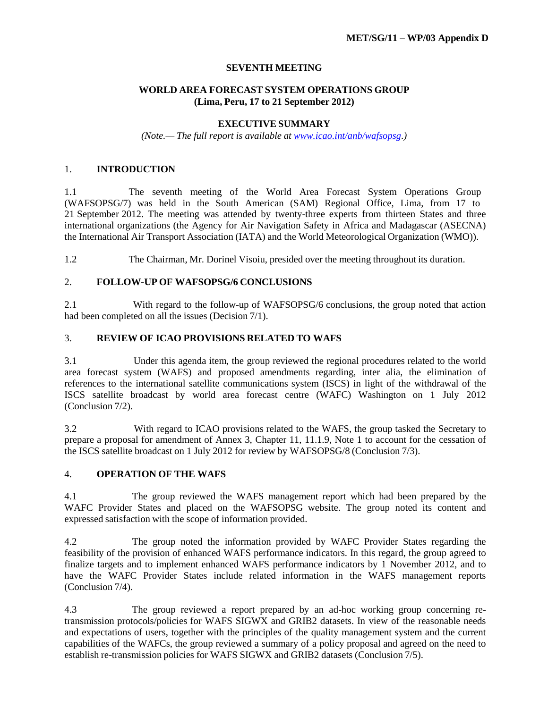### **SEVENTH MEETING**

# **WORLD AREA FORECAST SYSTEM OPERATIONS GROUP (Lima, Peru, 17 to 21 September 2012)**

### **EXECUTIVE SUMMARY**

*(Note.— The full report is available at [www.icao.int/anb/wafsopsg.\)](http://www.icao.int/anb/wafsopsg.))*

# 1. **INTRODUCTION**

1.1 The seventh meeting of the World Area Forecast System Operations Group (WAFSOPSG/7) was held in the South American (SAM) Regional Office, Lima, from 17 to 21 September 2012. The meeting was attended by twenty-three experts from thirteen States and three international organizations (the Agency for Air Navigation Safety in Africa and Madagascar (ASECNA) the International Air Transport Association (IATA) and the World Meteorological Organization (WMO)).

1.2 The Chairman, Mr. Dorinel Visoiu, presided over the meeting throughout its duration.

# 2. **FOLLOW-UP OF WAFSOPSG/6 CONCLUSIONS**

2.1 With regard to the follow-up of WAFSOPSG/6 conclusions, the group noted that action had been completed on all the issues (Decision 7/1).

# 3. **REVIEW OF ICAO PROVISIONS RELATED TO WAFS**

3.1 Under this agenda item, the group reviewed the regional procedures related to the world area forecast system (WAFS) and proposed amendments regarding, inter alia, the elimination of references to the international satellite communications system (ISCS) in light of the withdrawal of the ISCS satellite broadcast by world area forecast centre (WAFC) Washington on 1 July 2012 (Conclusion 7/2).

3.2 With regard to ICAO provisions related to the WAFS, the group tasked the Secretary to prepare a proposal for amendment of Annex 3, Chapter 11, 11.1.9, Note 1 to account for the cessation of the ISCS satellite broadcast on 1 July 2012 for review by WAFSOPSG/8 (Conclusion 7/3).

# 4. **OPERATION OF THE WAFS**

4.1 The group reviewed the WAFS management report which had been prepared by the WAFC Provider States and placed on the WAFSOPSG website. The group noted its content and expressed satisfaction with the scope of information provided.

4.2 The group noted the information provided by WAFC Provider States regarding the feasibility of the provision of enhanced WAFS performance indicators. In this regard, the group agreed to finalize targets and to implement enhanced WAFS performance indicators by 1 November 2012, and to have the WAFC Provider States include related information in the WAFS management reports (Conclusion 7/4).

4.3 The group reviewed a report prepared by an ad-hoc working group concerning retransmission protocols/policies for WAFS SIGWX and GRIB2 datasets. In view of the reasonable needs and expectations of users, together with the principles of the quality management system and the current capabilities of the WAFCs, the group reviewed a summary of a policy proposal and agreed on the need to establish re-transmission policies for WAFS SIGWX and GRIB2 datasets (Conclusion 7/5).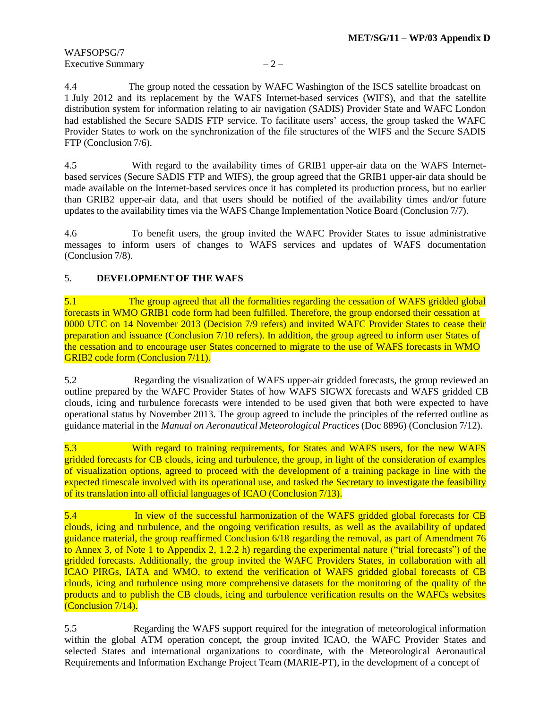# WAFSOPSG/7 Executive Summary  $-2$  –

4.4 The group noted the cessation by WAFC Washington of the ISCS satellite broadcast on 1 July 2012 and its replacement by the WAFS Internet-based services (WIFS), and that the satellite distribution system for information relating to air navigation (SADIS) Provider State and WAFC London had established the Secure SADIS FTP service. To facilitate users' access, the group tasked the WAFC Provider States to work on the synchronization of the file structures of the WIFS and the Secure SADIS FTP (Conclusion 7/6).

4.5 With regard to the availability times of GRIB1 upper-air data on the WAFS Internetbased services (Secure SADIS FTP and WIFS), the group agreed that the GRIB1 upper-air data should be made available on the Internet-based services once it has completed its production process, but no earlier than GRIB2 upper-air data, and that users should be notified of the availability times and/or future updates to the availability times via the WAFS Change Implementation Notice Board (Conclusion 7/7).

4.6 To benefit users, the group invited the WAFC Provider States to issue administrative messages to inform users of changes to WAFS services and updates of WAFS documentation (Conclusion 7/8).

# 5. **DEVELOPMENT OF THE WAFS**

5.1 The group agreed that all the formalities regarding the cessation of WAFS gridded global forecasts in WMO GRIB1 code form had been fulfilled. Therefore, the group endorsed their cessation at 0000 UTC on 14 November 2013 (Decision 7/9 refers) and invited WAFC Provider States to cease their preparation and issuance (Conclusion 7/10 refers). In addition, the group agreed to inform user States of the cessation and to encourage user States concerned to migrate to the use of WAFS forecasts in WMO GRIB2 code form (Conclusion 7/11).

5.2 Regarding the visualization of WAFS upper-air gridded forecasts, the group reviewed an outline prepared by the WAFC Provider States of how WAFS SIGWX forecasts and WAFS gridded CB clouds, icing and turbulence forecasts were intended to be used given that both were expected to have operational status by November 2013. The group agreed to include the principles of the referred outline as guidance material in the *Manual on Aeronautical Meteorological Practices* (Doc 8896) (Conclusion 7/12).

5.3 With regard to training requirements, for States and WAFS users, for the new WAFS gridded forecasts for CB clouds, icing and turbulence, the group, in light of the consideration of examples of visualization options, agreed to proceed with the development of a training package in line with the expected timescale involved with its operational use, and tasked the Secretary to investigate the feasibility of its translation into all official languages of ICAO (Conclusion 7/13).

5.4 In view of the successful harmonization of the WAFS gridded global forecasts for CB clouds, icing and turbulence, and the ongoing verification results, as well as the availability of updated guidance material, the group reaffirmed Conclusion 6/18 regarding the removal, as part of Amendment 76 to Annex 3, of Note 1 to Appendix 2, 1.2.2 h) regarding the experimental nature ("trial forecasts") of the gridded forecasts. Additionally, the group invited the WAFC Providers States, in collaboration with all ICAO PIRGs, IATA and WMO, to extend the verification of WAFS gridded global forecasts of CB clouds, icing and turbulence using more comprehensive datasets for the monitoring of the quality of the products and to publish the CB clouds, icing and turbulence verification results on the WAFCs websites (Conclusion 7/14).

5.5 Regarding the WAFS support required for the integration of meteorological information within the global ATM operation concept, the group invited ICAO, the WAFC Provider States and selected States and international organizations to coordinate, with the Meteorological Aeronautical Requirements and Information Exchange Project Team (MARIE-PT), in the development of a concept of